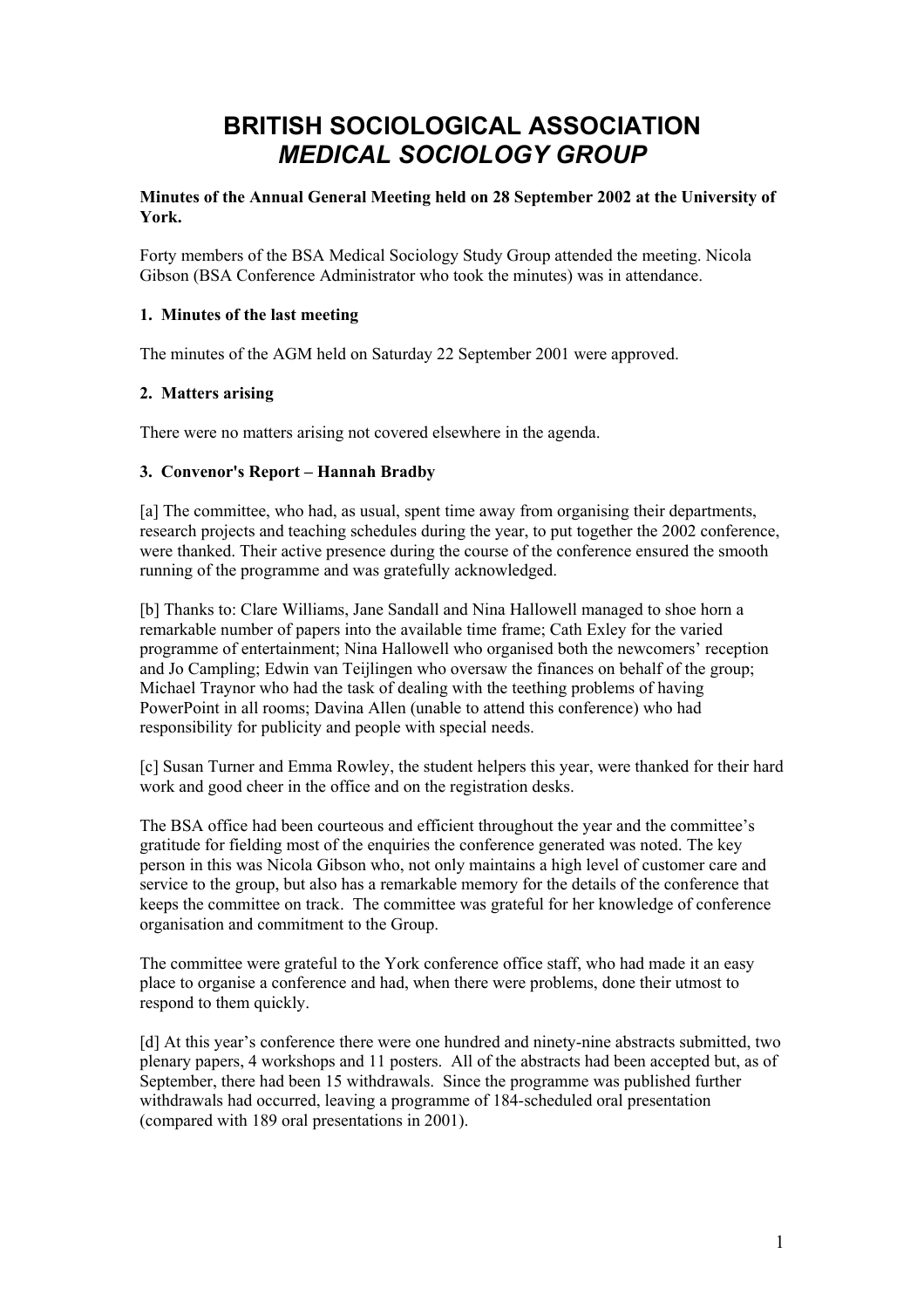# **BRITISH SOCIOLOGICAL ASSOCIATION**  *MEDICAL SOCIOLOGY GROUP*

# **Minutes of the Annual General Meeting held on 28 September 2002 at the University of York.**

Forty members of the BSA Medical Sociology Study Group attended the meeting. Nicola Gibson (BSA Conference Administrator who took the minutes) was in attendance.

# **1. Minutes of the last meeting**

The minutes of the AGM held on Saturday 22 September 2001 were approved.

# **2. Matters arising**

There were no matters arising not covered elsewhere in the agenda.

# **3. Convenor's Report – Hannah Bradby**

[a] The committee, who had, as usual, spent time away from organising their departments, research projects and teaching schedules during the year, to put together the 2002 conference, were thanked. Their active presence during the course of the conference ensured the smooth running of the programme and was gratefully acknowledged.

[b] Thanks to: Clare Williams, Jane Sandall and Nina Hallowell managed to shoe horn a remarkable number of papers into the available time frame; Cath Exley for the varied programme of entertainment; Nina Hallowell who organised both the newcomers' reception and Jo Campling; Edwin van Teijlingen who oversaw the finances on behalf of the group; Michael Traynor who had the task of dealing with the teething problems of having PowerPoint in all rooms; Davina Allen (unable to attend this conference) who had responsibility for publicity and people with special needs.

[c] Susan Turner and Emma Rowley, the student helpers this year, were thanked for their hard work and good cheer in the office and on the registration desks.

The BSA office had been courteous and efficient throughout the year and the committee's gratitude for fielding most of the enquiries the conference generated was noted. The key person in this was Nicola Gibson who, not only maintains a high level of customer care and service to the group, but also has a remarkable memory for the details of the conference that keeps the committee on track. The committee was grateful for her knowledge of conference organisation and commitment to the Group.

The committee were grateful to the York conference office staff, who had made it an easy place to organise a conference and had, when there were problems, done their utmost to respond to them quickly.

[d] At this year's conference there were one hundred and ninety-nine abstracts submitted, two plenary papers, 4 workshops and 11 posters. All of the abstracts had been accepted but, as of September, there had been 15 withdrawals. Since the programme was published further withdrawals had occurred, leaving a programme of 184-scheduled oral presentation (compared with 189 oral presentations in 2001).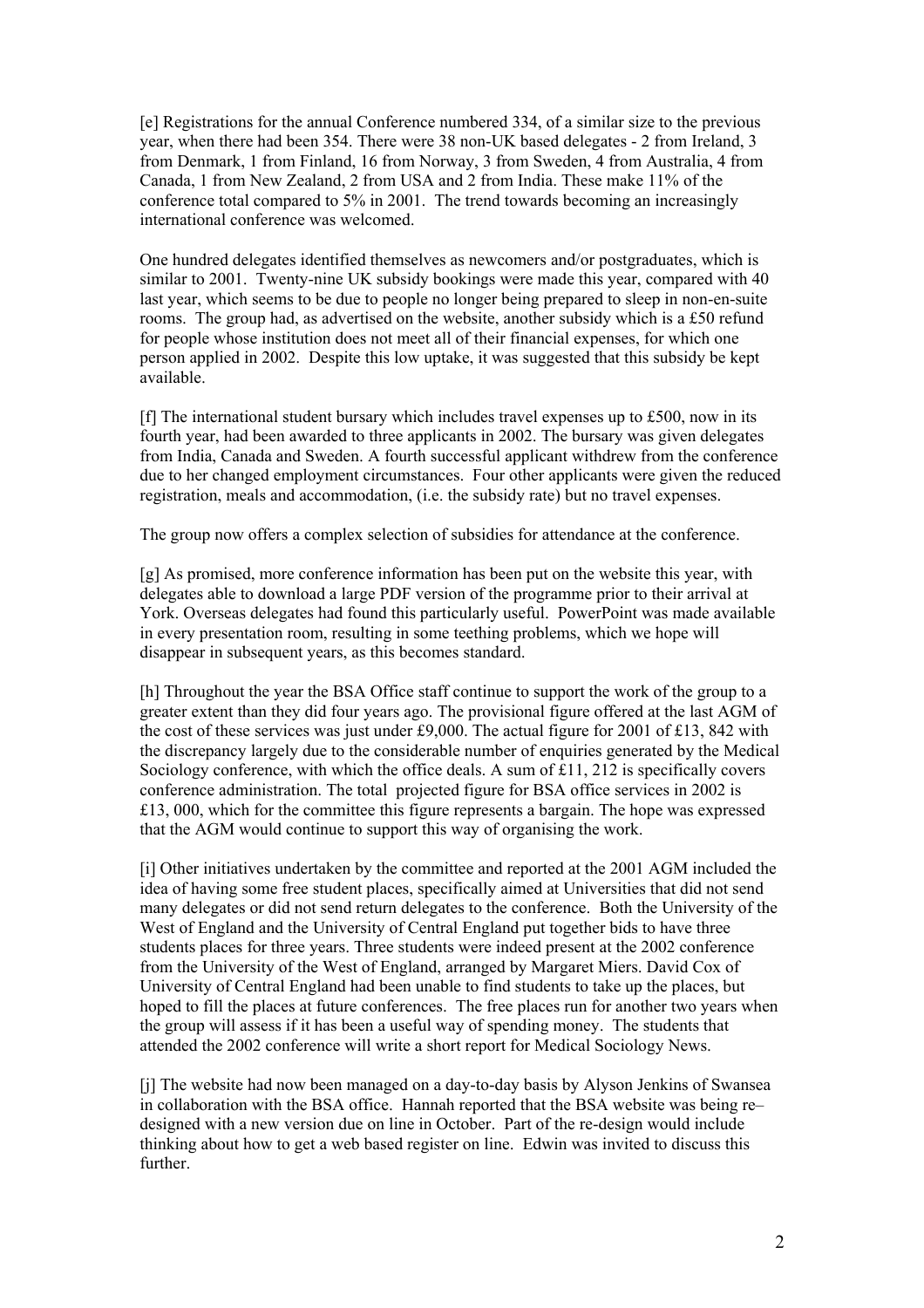[e] Registrations for the annual Conference numbered 334, of a similar size to the previous year, when there had been 354. There were 38 non-UK based delegates - 2 from Ireland, 3 from Denmark, 1 from Finland, 16 from Norway, 3 from Sweden, 4 from Australia, 4 from Canada, 1 from New Zealand, 2 from USA and 2 from India. These make 11% of the conference total compared to 5% in 2001. The trend towards becoming an increasingly international conference was welcomed.

One hundred delegates identified themselves as newcomers and/or postgraduates, which is similar to 2001. Twenty-nine UK subsidy bookings were made this year, compared with 40 last year, which seems to be due to people no longer being prepared to sleep in non-en-suite rooms. The group had, as advertised on the website, another subsidy which is a £50 refund for people whose institution does not meet all of their financial expenses, for which one person applied in 2002. Despite this low uptake, it was suggested that this subsidy be kept available.

[f] The international student bursary which includes travel expenses up to £500, now in its fourth year, had been awarded to three applicants in 2002. The bursary was given delegates from India, Canada and Sweden. A fourth successful applicant withdrew from the conference due to her changed employment circumstances. Four other applicants were given the reduced registration, meals and accommodation, (i.e. the subsidy rate) but no travel expenses.

The group now offers a complex selection of subsidies for attendance at the conference.

[g] As promised, more conference information has been put on the website this year, with delegates able to download a large PDF version of the programme prior to their arrival at York. Overseas delegates had found this particularly useful. PowerPoint was made available in every presentation room, resulting in some teething problems, which we hope will disappear in subsequent years, as this becomes standard.

[h] Throughout the year the BSA Office staff continue to support the work of the group to a greater extent than they did four years ago. The provisional figure offered at the last AGM of the cost of these services was just under £9,000. The actual figure for 2001 of £13, 842 with the discrepancy largely due to the considerable number of enquiries generated by the Medical Sociology conference, with which the office deals. A sum of  $£11, 212$  is specifically covers conference administration. The total projected figure for BSA office services in 2002 is £13, 000, which for the committee this figure represents a bargain. The hope was expressed that the AGM would continue to support this way of organising the work.

[i] Other initiatives undertaken by the committee and reported at the 2001 AGM included the idea of having some free student places, specifically aimed at Universities that did not send many delegates or did not send return delegates to the conference. Both the University of the West of England and the University of Central England put together bids to have three students places for three years. Three students were indeed present at the 2002 conference from the University of the West of England, arranged by Margaret Miers. David Cox of University of Central England had been unable to find students to take up the places, but hoped to fill the places at future conferences. The free places run for another two years when the group will assess if it has been a useful way of spending money. The students that attended the 2002 conference will write a short report for Medical Sociology News.

[j] The website had now been managed on a day-to-day basis by Alyson Jenkins of Swansea in collaboration with the BSA office. Hannah reported that the BSA website was being re– designed with a new version due on line in October. Part of the re-design would include thinking about how to get a web based register on line. Edwin was invited to discuss this further.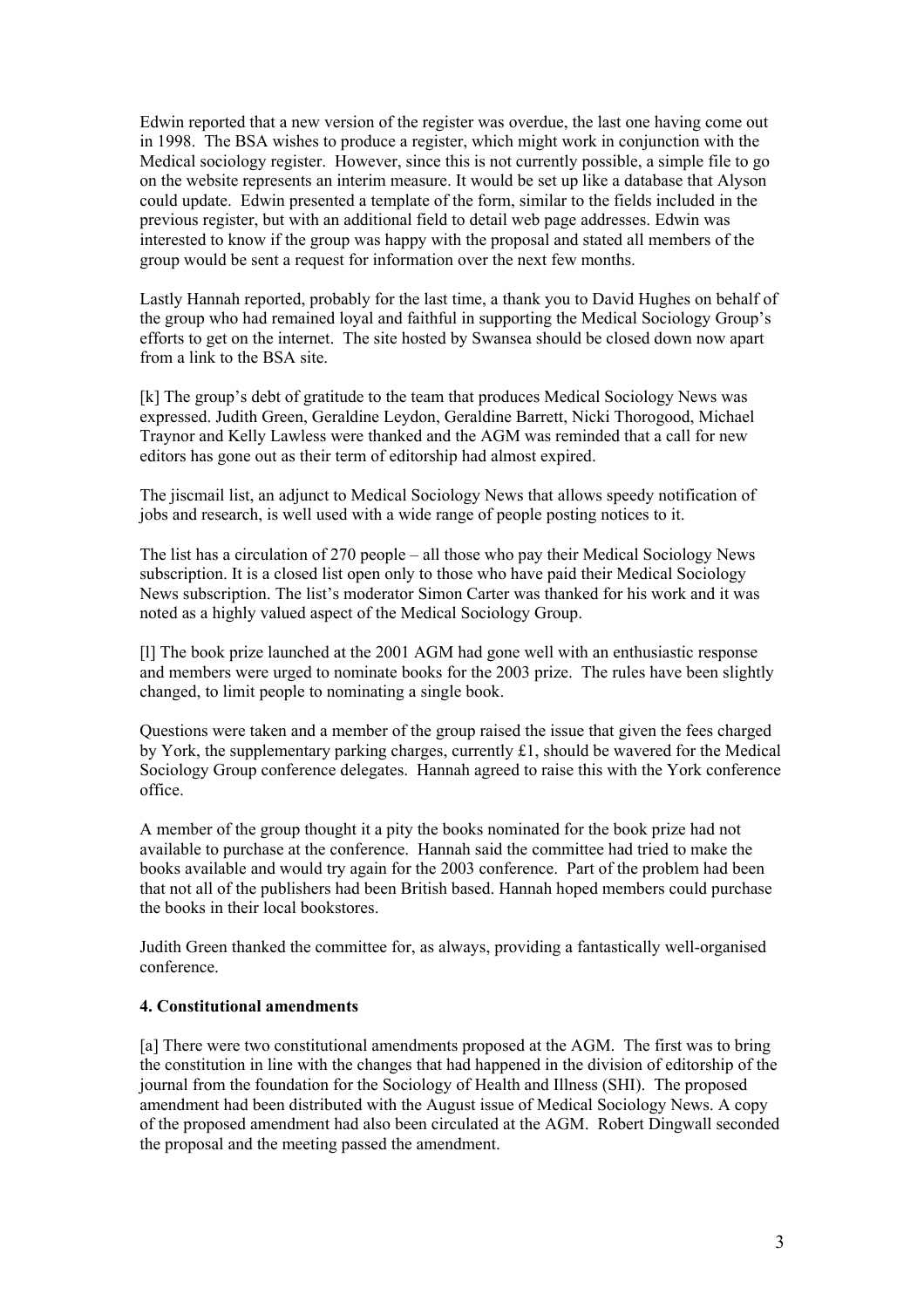Edwin reported that a new version of the register was overdue, the last one having come out in 1998. The BSA wishes to produce a register, which might work in conjunction with the Medical sociology register. However, since this is not currently possible, a simple file to go on the website represents an interim measure. It would be set up like a database that Alyson could update. Edwin presented a template of the form, similar to the fields included in the previous register, but with an additional field to detail web page addresses. Edwin was interested to know if the group was happy with the proposal and stated all members of the group would be sent a request for information over the next few months.

Lastly Hannah reported, probably for the last time, a thank you to David Hughes on behalf of the group who had remained loyal and faithful in supporting the Medical Sociology Group's efforts to get on the internet. The site hosted by Swansea should be closed down now apart from a link to the BSA site.

[k] The group's debt of gratitude to the team that produces Medical Sociology News was expressed. Judith Green, Geraldine Leydon, Geraldine Barrett, Nicki Thorogood, Michael Traynor and Kelly Lawless were thanked and the AGM was reminded that a call for new editors has gone out as their term of editorship had almost expired.

The jiscmail list, an adjunct to Medical Sociology News that allows speedy notification of jobs and research, is well used with a wide range of people posting notices to it.

The list has a circulation of 270 people – all those who pay their Medical Sociology News subscription. It is a closed list open only to those who have paid their Medical Sociology News subscription. The list's moderator Simon Carter was thanked for his work and it was noted as a highly valued aspect of the Medical Sociology Group.

[l] The book prize launched at the 2001 AGM had gone well with an enthusiastic response and members were urged to nominate books for the 2003 prize. The rules have been slightly changed, to limit people to nominating a single book.

Questions were taken and a member of the group raised the issue that given the fees charged by York, the supplementary parking charges, currently £1, should be wavered for the Medical Sociology Group conference delegates. Hannah agreed to raise this with the York conference office.

A member of the group thought it a pity the books nominated for the book prize had not available to purchase at the conference. Hannah said the committee had tried to make the books available and would try again for the 2003 conference. Part of the problem had been that not all of the publishers had been British based. Hannah hoped members could purchase the books in their local bookstores.

Judith Green thanked the committee for, as always, providing a fantastically well-organised conference.

## **4. Constitutional amendments**

[a] There were two constitutional amendments proposed at the AGM. The first was to bring the constitution in line with the changes that had happened in the division of editorship of the journal from the foundation for the Sociology of Health and Illness (SHI). The proposed amendment had been distributed with the August issue of Medical Sociology News. A copy of the proposed amendment had also been circulated at the AGM. Robert Dingwall seconded the proposal and the meeting passed the amendment.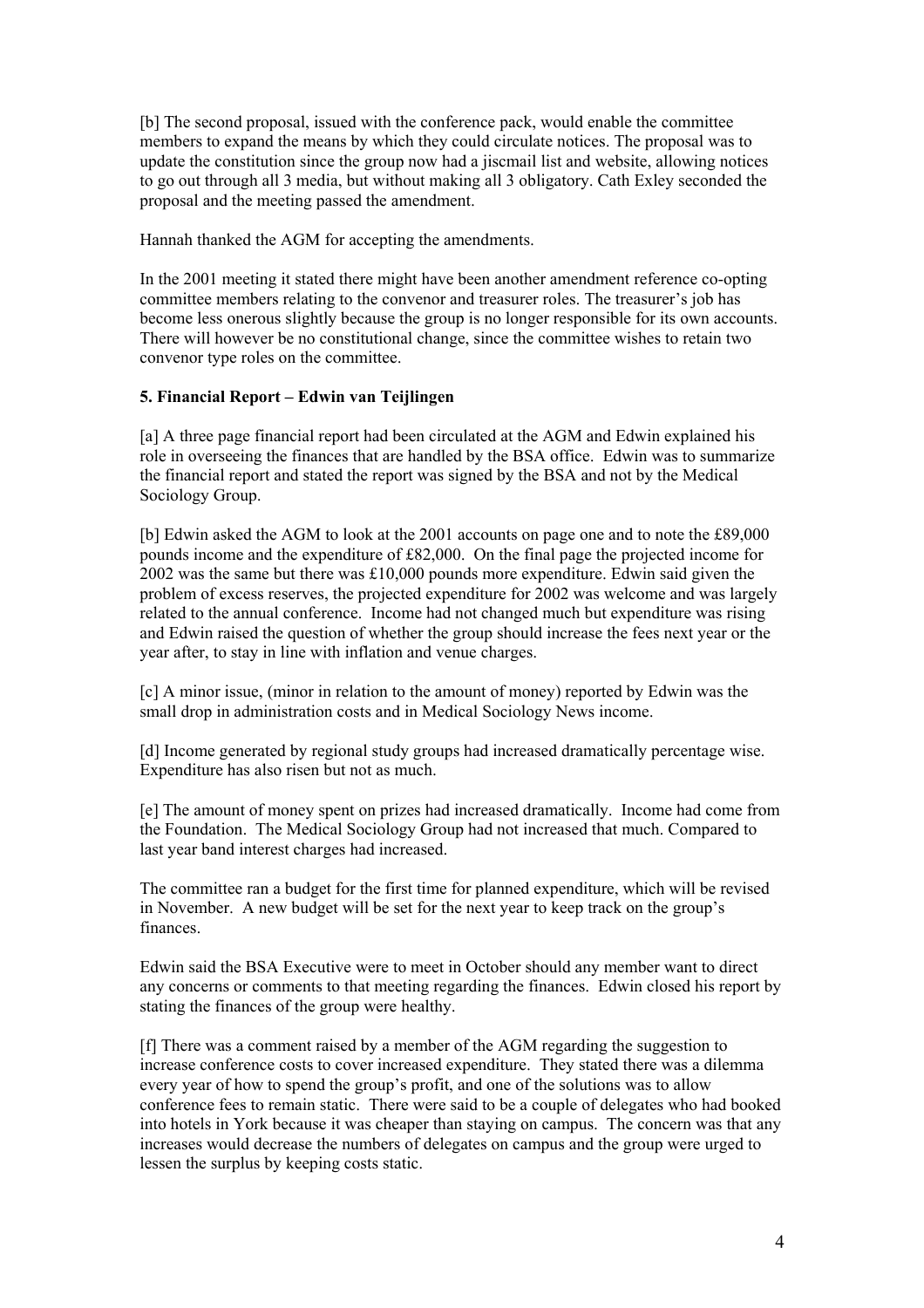[b] The second proposal, issued with the conference pack, would enable the committee members to expand the means by which they could circulate notices. The proposal was to update the constitution since the group now had a jiscmail list and website, allowing notices to go out through all 3 media, but without making all 3 obligatory. Cath Exley seconded the proposal and the meeting passed the amendment.

Hannah thanked the AGM for accepting the amendments.

In the 2001 meeting it stated there might have been another amendment reference co-opting committee members relating to the convenor and treasurer roles. The treasurer's job has become less onerous slightly because the group is no longer responsible for its own accounts. There will however be no constitutional change, since the committee wishes to retain two convenor type roles on the committee.

## **5. Financial Report – Edwin van Teijlingen**

[a] A three page financial report had been circulated at the AGM and Edwin explained his role in overseeing the finances that are handled by the BSA office. Edwin was to summarize the financial report and stated the report was signed by the BSA and not by the Medical Sociology Group.

[b] Edwin asked the AGM to look at the 2001 accounts on page one and to note the £89,000 pounds income and the expenditure of £82,000. On the final page the projected income for 2002 was the same but there was £10,000 pounds more expenditure. Edwin said given the problem of excess reserves, the projected expenditure for 2002 was welcome and was largely related to the annual conference. Income had not changed much but expenditure was rising and Edwin raised the question of whether the group should increase the fees next year or the year after, to stay in line with inflation and venue charges.

[c] A minor issue, (minor in relation to the amount of money) reported by Edwin was the small drop in administration costs and in Medical Sociology News income.

[d] Income generated by regional study groups had increased dramatically percentage wise. Expenditure has also risen but not as much.

[e] The amount of money spent on prizes had increased dramatically. Income had come from the Foundation. The Medical Sociology Group had not increased that much. Compared to last year band interest charges had increased.

The committee ran a budget for the first time for planned expenditure, which will be revised in November. A new budget will be set for the next year to keep track on the group's finances.

Edwin said the BSA Executive were to meet in October should any member want to direct any concerns or comments to that meeting regarding the finances. Edwin closed his report by stating the finances of the group were healthy.

[f] There was a comment raised by a member of the AGM regarding the suggestion to increase conference costs to cover increased expenditure. They stated there was a dilemma every year of how to spend the group's profit, and one of the solutions was to allow conference fees to remain static. There were said to be a couple of delegates who had booked into hotels in York because it was cheaper than staying on campus. The concern was that any increases would decrease the numbers of delegates on campus and the group were urged to lessen the surplus by keeping costs static.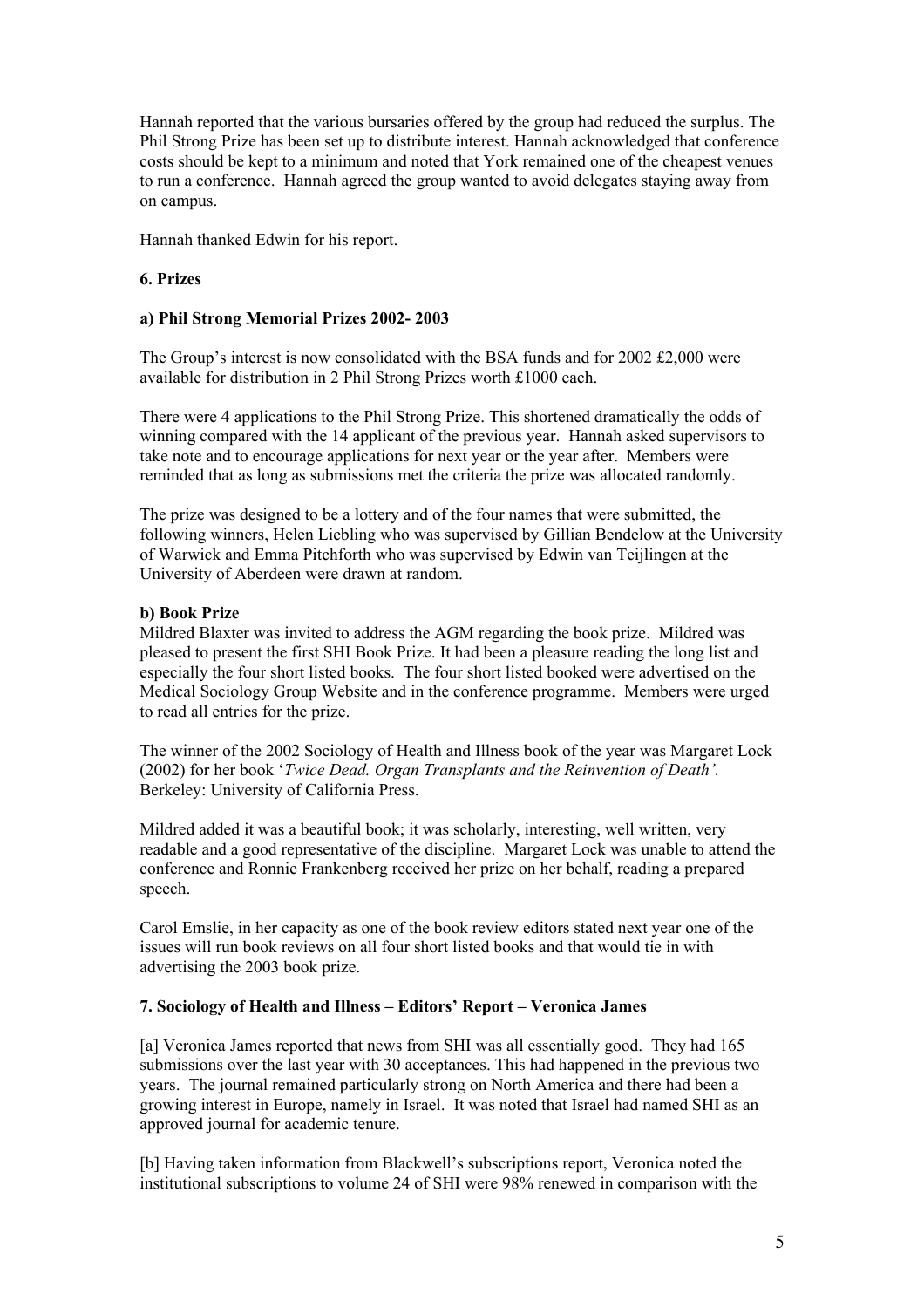Hannah reported that the various bursaries offered by the group had reduced the surplus. The Phil Strong Prize has been set up to distribute interest. Hannah acknowledged that conference costs should be kept to a minimum and noted that York remained one of the cheapest venues to run a conference. Hannah agreed the group wanted to avoid delegates staying away from on campus.

Hannah thanked Edwin for his report.

## **6. Prizes**

## **a) Phil Strong Memorial Prizes 2002- 2003**

The Group's interest is now consolidated with the BSA funds and for 2002 £2,000 were available for distribution in 2 Phil Strong Prizes worth £1000 each.

There were 4 applications to the Phil Strong Prize. This shortened dramatically the odds of winning compared with the 14 applicant of the previous year. Hannah asked supervisors to take note and to encourage applications for next year or the year after. Members were reminded that as long as submissions met the criteria the prize was allocated randomly.

The prize was designed to be a lottery and of the four names that were submitted, the following winners, Helen Liebling who was supervised by Gillian Bendelow at the University of Warwick and Emma Pitchforth who was supervised by Edwin van Teijlingen at the University of Aberdeen were drawn at random.

#### **b) Book Prize**

Mildred Blaxter was invited to address the AGM regarding the book prize. Mildred was pleased to present the first SHI Book Prize. It had been a pleasure reading the long list and especially the four short listed books. The four short listed booked were advertised on the Medical Sociology Group Website and in the conference programme. Members were urged to read all entries for the prize.

The winner of the 2002 Sociology of Health and Illness book of the year was Margaret Lock (2002) for her book '*Twice Dead. Organ Transplants and the Reinvention of Death'.*  Berkeley: University of California Press.

Mildred added it was a beautiful book; it was scholarly, interesting, well written, very readable and a good representative of the discipline. Margaret Lock was unable to attend the conference and Ronnie Frankenberg received her prize on her behalf, reading a prepared speech.

Carol Emslie, in her capacity as one of the book review editors stated next year one of the issues will run book reviews on all four short listed books and that would tie in with advertising the 2003 book prize.

#### **7. Sociology of Health and Illness – Editors' Report – Veronica James**

[a] Veronica James reported that news from SHI was all essentially good. They had 165 submissions over the last year with 30 acceptances. This had happened in the previous two years. The journal remained particularly strong on North America and there had been a growing interest in Europe, namely in Israel. It was noted that Israel had named SHI as an approved journal for academic tenure.

[b] Having taken information from Blackwell's subscriptions report, Veronica noted the institutional subscriptions to volume 24 of SHI were 98% renewed in comparison with the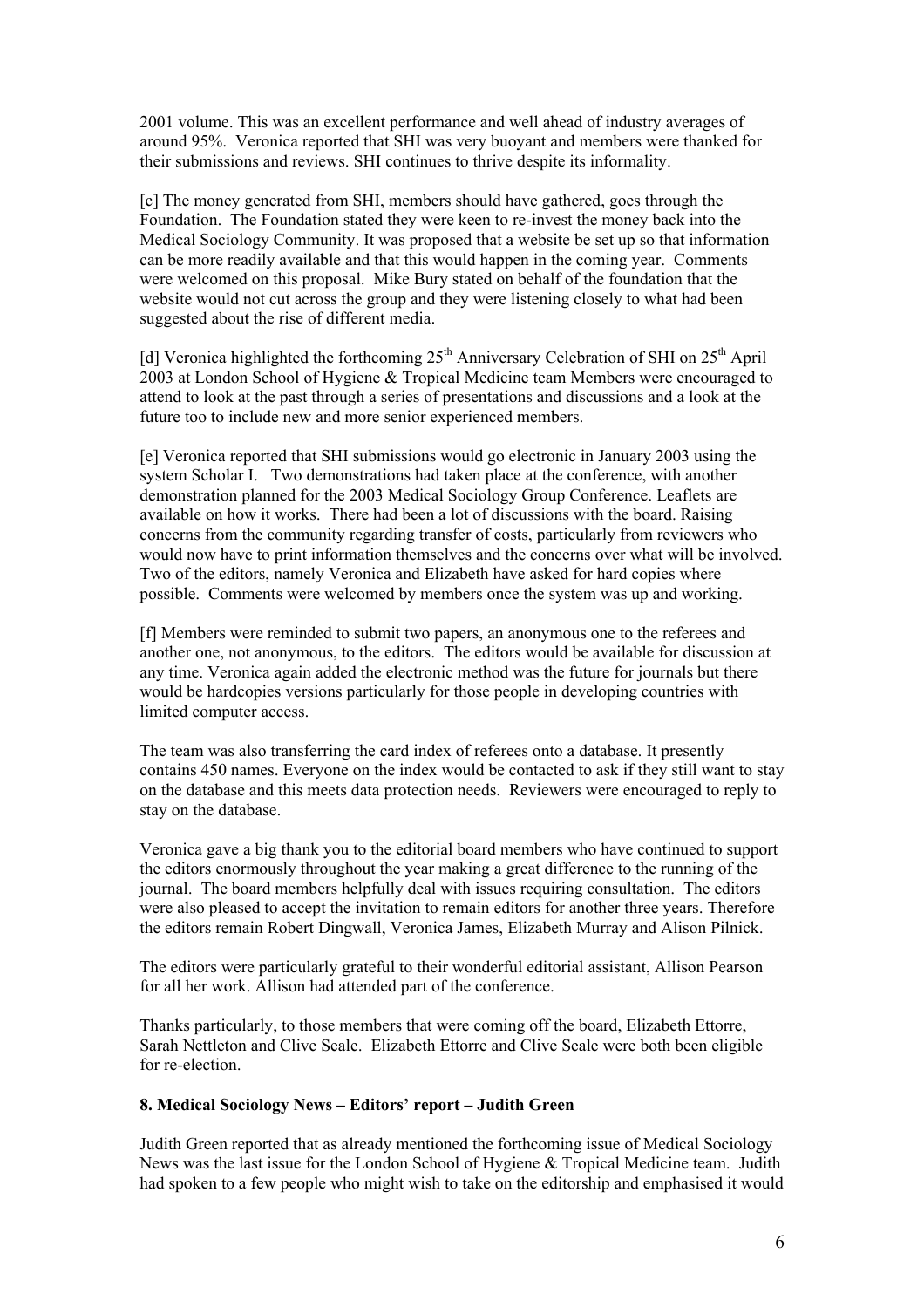2001 volume. This was an excellent performance and well ahead of industry averages of around 95%. Veronica reported that SHI was very buoyant and members were thanked for their submissions and reviews. SHI continues to thrive despite its informality.

[c] The money generated from SHI, members should have gathered, goes through the Foundation. The Foundation stated they were keen to re-invest the money back into the Medical Sociology Community. It was proposed that a website be set up so that information can be more readily available and that this would happen in the coming year. Comments were welcomed on this proposal. Mike Bury stated on behalf of the foundation that the website would not cut across the group and they were listening closely to what had been suggested about the rise of different media.

[d] Veronica highlighted the forthcoming  $25<sup>th</sup>$  Anniversary Celebration of SHI on  $25<sup>th</sup>$  April 2003 at London School of Hygiene & Tropical Medicine team Members were encouraged to attend to look at the past through a series of presentations and discussions and a look at the future too to include new and more senior experienced members.

[e] Veronica reported that SHI submissions would go electronic in January 2003 using the system Scholar I. Two demonstrations had taken place at the conference, with another demonstration planned for the 2003 Medical Sociology Group Conference. Leaflets are available on how it works. There had been a lot of discussions with the board. Raising concerns from the community regarding transfer of costs, particularly from reviewers who would now have to print information themselves and the concerns over what will be involved. Two of the editors, namely Veronica and Elizabeth have asked for hard copies where possible. Comments were welcomed by members once the system was up and working.

[f] Members were reminded to submit two papers, an anonymous one to the referees and another one, not anonymous, to the editors. The editors would be available for discussion at any time. Veronica again added the electronic method was the future for journals but there would be hardcopies versions particularly for those people in developing countries with limited computer access.

The team was also transferring the card index of referees onto a database. It presently contains 450 names. Everyone on the index would be contacted to ask if they still want to stay on the database and this meets data protection needs. Reviewers were encouraged to reply to stay on the database.

Veronica gave a big thank you to the editorial board members who have continued to support the editors enormously throughout the year making a great difference to the running of the journal. The board members helpfully deal with issues requiring consultation. The editors were also pleased to accept the invitation to remain editors for another three years. Therefore the editors remain Robert Dingwall, Veronica James, Elizabeth Murray and Alison Pilnick.

The editors were particularly grateful to their wonderful editorial assistant, Allison Pearson for all her work. Allison had attended part of the conference.

Thanks particularly, to those members that were coming off the board, Elizabeth Ettorre, Sarah Nettleton and Clive Seale. Elizabeth Ettorre and Clive Seale were both been eligible for re-election.

## **8. Medical Sociology News – Editors' report – Judith Green**

Judith Green reported that as already mentioned the forthcoming issue of Medical Sociology News was the last issue for the London School of Hygiene & Tropical Medicine team. Judith had spoken to a few people who might wish to take on the editorship and emphasised it would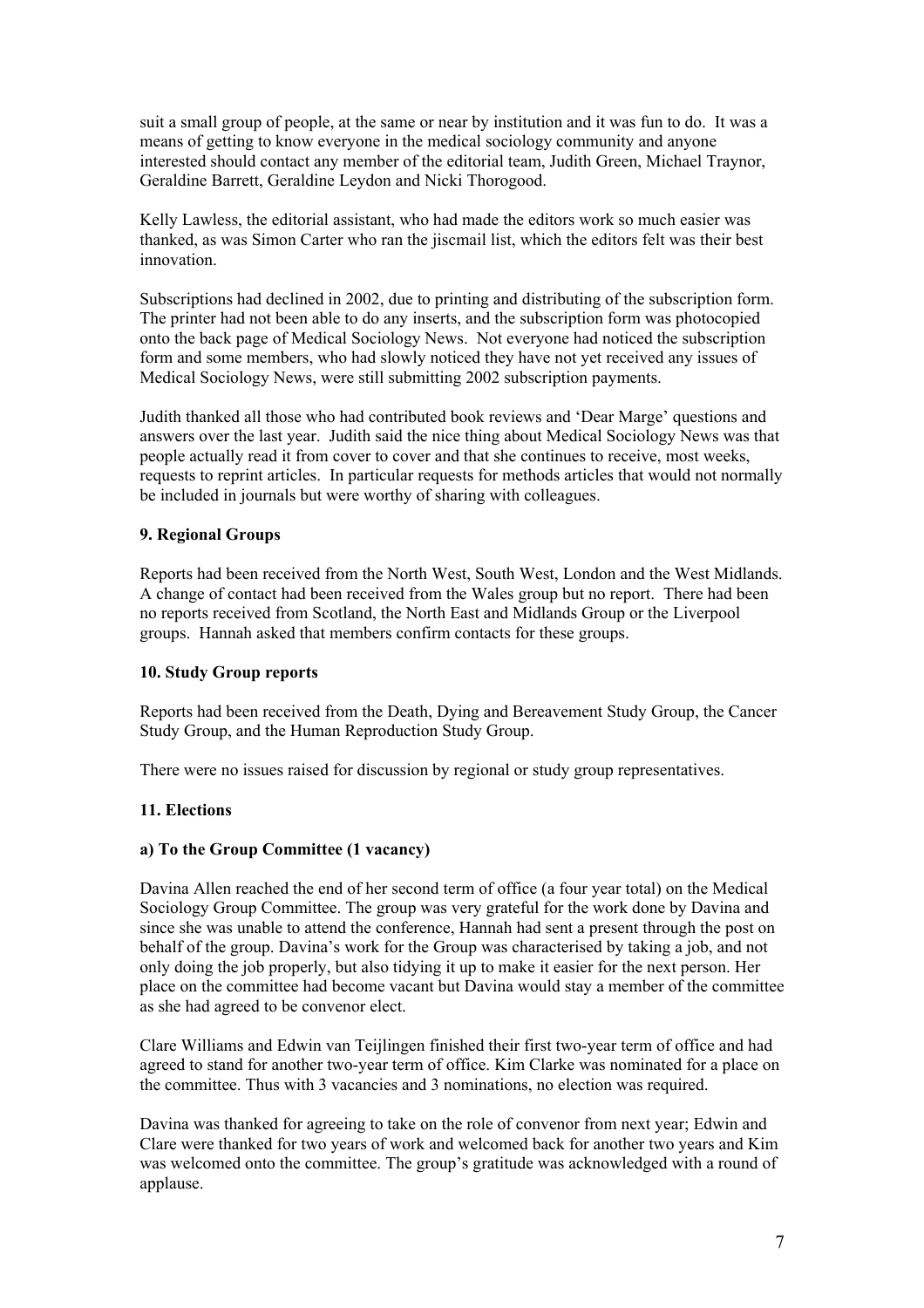suit a small group of people, at the same or near by institution and it was fun to do. It was a means of getting to know everyone in the medical sociology community and anyone interested should contact any member of the editorial team, Judith Green, Michael Traynor, Geraldine Barrett, Geraldine Leydon and Nicki Thorogood.

Kelly Lawless, the editorial assistant, who had made the editors work so much easier was thanked, as was Simon Carter who ran the jiscmail list, which the editors felt was their best innovation.

Subscriptions had declined in 2002, due to printing and distributing of the subscription form. The printer had not been able to do any inserts, and the subscription form was photocopied onto the back page of Medical Sociology News. Not everyone had noticed the subscription form and some members, who had slowly noticed they have not yet received any issues of Medical Sociology News, were still submitting 2002 subscription payments.

Judith thanked all those who had contributed book reviews and 'Dear Marge' questions and answers over the last year. Judith said the nice thing about Medical Sociology News was that people actually read it from cover to cover and that she continues to receive, most weeks, requests to reprint articles. In particular requests for methods articles that would not normally be included in journals but were worthy of sharing with colleagues.

# **9. Regional Groups**

Reports had been received from the North West, South West, London and the West Midlands. A change of contact had been received from the Wales group but no report. There had been no reports received from Scotland, the North East and Midlands Group or the Liverpool groups. Hannah asked that members confirm contacts for these groups.

## **10. Study Group reports**

Reports had been received from the Death, Dying and Bereavement Study Group, the Cancer Study Group, and the Human Reproduction Study Group.

There were no issues raised for discussion by regional or study group representatives.

# **11. Elections**

# **a) To the Group Committee (1 vacancy)**

Davina Allen reached the end of her second term of office (a four year total) on the Medical Sociology Group Committee. The group was very grateful for the work done by Davina and since she was unable to attend the conference, Hannah had sent a present through the post on behalf of the group. Davina's work for the Group was characterised by taking a job, and not only doing the job properly, but also tidying it up to make it easier for the next person. Her place on the committee had become vacant but Davina would stay a member of the committee as she had agreed to be convenor elect.

Clare Williams and Edwin van Teijlingen finished their first two-year term of office and had agreed to stand for another two-year term of office. Kim Clarke was nominated for a place on the committee. Thus with 3 vacancies and 3 nominations, no election was required.

Davina was thanked for agreeing to take on the role of convenor from next year; Edwin and Clare were thanked for two years of work and welcomed back for another two years and Kim was welcomed onto the committee. The group's gratitude was acknowledged with a round of applause.